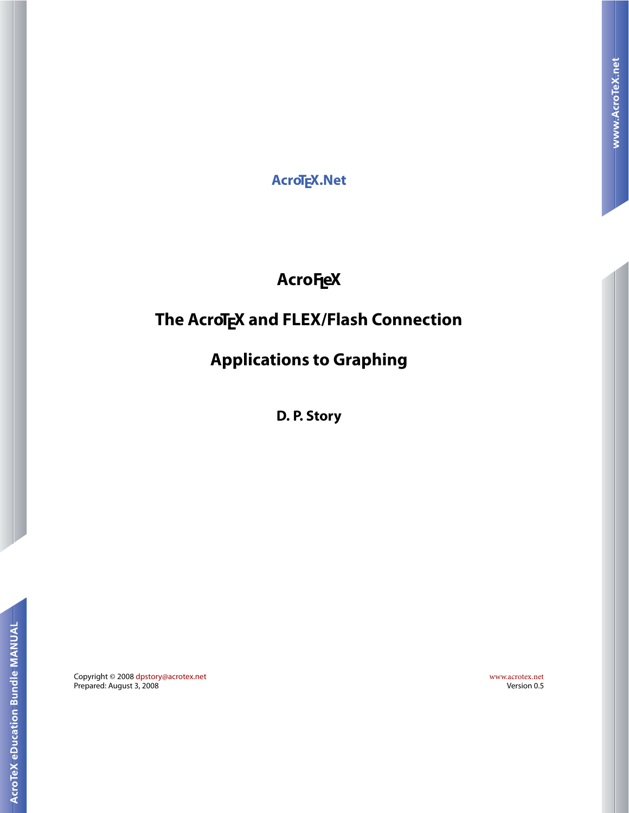**AcroTEX.Net**

# **AcroFL eX**

## **The AcroTEX and FLEX/Flash Connection**

## **Applications to Graphing**

**D. P. Story**

Copyright © 2008 [dpstory@acrotex.net](mailto:dpstory@acrotex.net) <www.acrotex.net> Prepared: August 3, 2008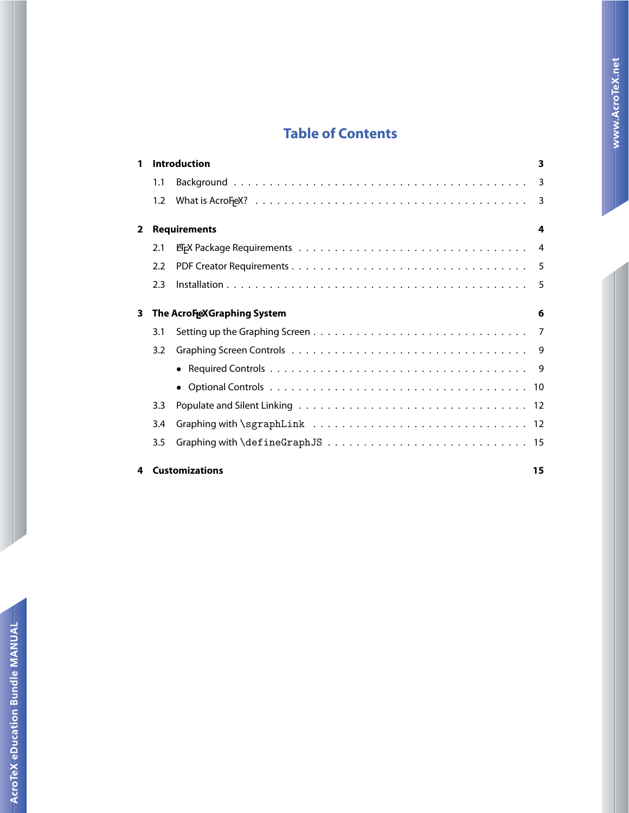## **Table of Contents**

| 1                               | <b>Introduction</b>        |  |                |
|---------------------------------|----------------------------|--|----------------|
|                                 | 1.1                        |  |                |
|                                 | 1.2                        |  | -3             |
| $\overline{2}$                  | <b>Requirements</b><br>4   |  |                |
|                                 | 2.1                        |  | $\overline{4}$ |
|                                 | 2.2                        |  |                |
|                                 | 2.3                        |  | -5             |
| 3<br>The AcroFeXGraphing System |                            |  | 6              |
|                                 | 3.1                        |  |                |
|                                 | 3.2                        |  |                |
|                                 |                            |  |                |
|                                 |                            |  |                |
|                                 | 3.3                        |  |                |
|                                 | 3.4                        |  |                |
|                                 | 3.5                        |  |                |
|                                 | <b>Customizations</b><br>4 |  | 15             |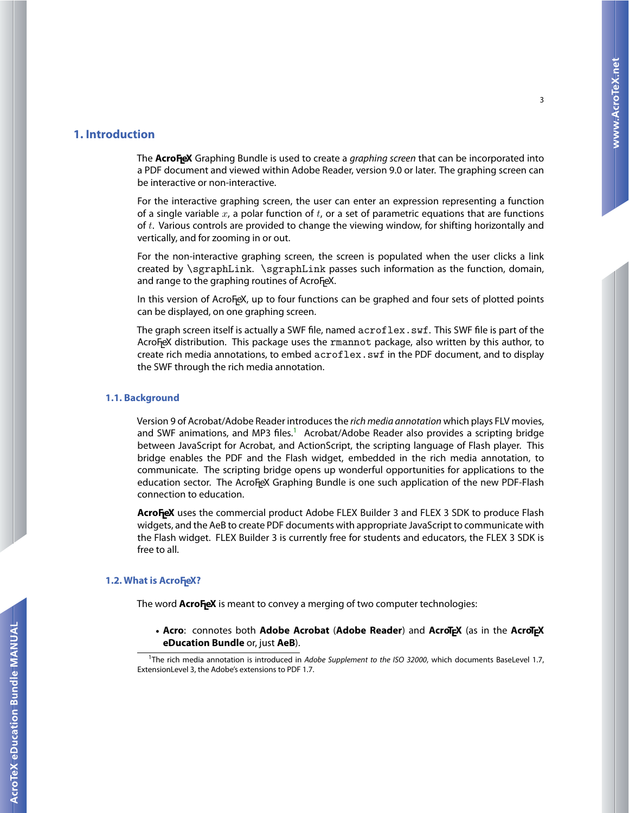#### <span id="page-2-0"></span>**1. Introduction**

The **AcroF<sub>I</sub>eX** Graphing Bundle is used to create a *graphing screen* that can be incorporated into a PDF document and viewed within Adobe Reader, version 9.0 or later. The graphing screen can be interactive or non-interactive.

For the interactive graphing screen, the user can enter an expression representing a function of a single variable  $x$ , a polar function of  $t$ , or a set of parametric equations that are functions of  $t$ . Various controls are provided to change the viewing window, for shifting horizontally and vertically, and for zooming in or out.

For the non-interactive graphing screen, the screen is populated when the user clicks a link created by \sgraphLink. \sgraphLink passes such information as the function, domain, and range to the graphing routines of AcroF<sub>l</sub>eX.

In this version of AcroFeX, up to four functions can be graphed and four sets of plotted points can be displayed, on one graphing screen.

The graph screen itself is actually a SWF file, named acroflex.swf. This SWF file is part of the AcroFeX distribution. This package uses the rmannot package, also written by this author, to create rich media annotations, to embed acroflex.swf in the PDF document, and to display the SWF through the rich media annotation.

#### **1.1. Background**

Version 9 of Acrobat/Adobe Reader introduces the rich media annotation which plays FLV movies, and SWF animations, and MP3 files.<sup>1</sup> Acrobat/Adobe Reader also provides a scripting bridge between JavaScript for Acrobat, and ActionScript, the scripting language of Flash player. This bridge enables the PDF and the Flash widget, embedded in the rich media annotation, to communicate. The scripting bridge opens up wonderful opportunities for applications to the education sector. The AcroF<sub>L</sub>eX Graphing Bundle is one such application of the new PDF-Flash connection to education.

**AcroFeX** uses the commercial product Adobe FLEX Builder 3 and FLEX 3 SDK to produce Flash widgets, and the AeB to create PDF documents with appropriate JavaScript to communicate with the Flash widget. FLEX Builder 3 is currently free for students and educators, the FLEX 3 SDK is free to all.

### 1.2. What is AcroFeX?

The word **AcroF<sub>I</sub>eX** is meant to convey a merging of two computer technologies:

• **Acro**: connotes both **Adobe Acrobat** (**Adobe Reader**) and **AcroTEX** (as in the **AcroTEX eDucation Bundle** or, just **AeB**).

<sup>&</sup>lt;sup>1</sup>The rich media annotation is introduced in Adobe Supplement to the ISO 32000, which documents BaseLevel 1.7, ExtensionLevel 3, the Adobe's extensions to PDF 1.7.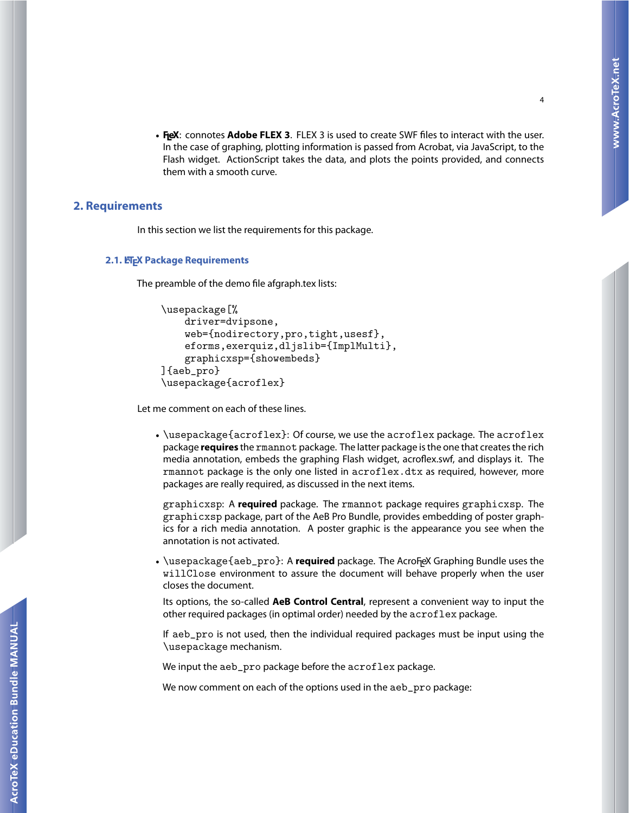<span id="page-3-0"></span>• **FL eX**: connotes **Adobe FLEX 3**. FLEX 3 is used to create SWF files to interact with the user. In the case of graphing, plotting information is passed from Acrobat, via JavaScript, to the Flash widget. ActionScript takes the data, and plots the points provided, and connects them with a smooth curve.

#### **2. Requirements**

In this section we list the requirements for this package.

#### **2.1. LTEX Package Requirements**

The preamble of the demo file afgraph.tex lists:

```
\usepackage[%
    driver=dvipsone,
    web={nodirectory,pro,tight,usesf},
    eforms,exerquiz,dljslib={ImplMulti},
    graphicxsp={showembeds}
]{aeb_pro}
\usepackage{acroflex}
```
Let me comment on each of these lines.

• \usepackage{acroflex}: Of course, we use the acroflex package. The acroflex package **requires** the rmannot package. The latter package is the one that creates the rich media annotation, embeds the graphing Flash widget, acroflex.swf, and displays it. The rmannot package is the only one listed in acroflex.dtx as required, however, more packages are really required, as discussed in the next items.

graphicxsp: A **required** package. The rmannot package requires graphicxsp. The graphicxsp package, part of the AeB Pro Bundle, provides embedding of poster graphics for a rich media annotation. A poster graphic is the appearance you see when the annotation is not activated.

 $\bullet$  \usepackage{aeb\_pro}: A **required** package. The AcroF<sub>l</sub>eX Graphing Bundle uses the willClose environment to assure the document will behave properly when the user closes the document.

Its options, the so-called **AeB Control Central**, represent a convenient way to input the other required packages (in optimal order) needed by the acroflex package.

If aeb\_pro is not used, then the individual required packages must be input using the \usepackage mechanism.

We input the aeb\_pro package before the acroflex package.

We now comment on each of the options used in the aeb\_pro package: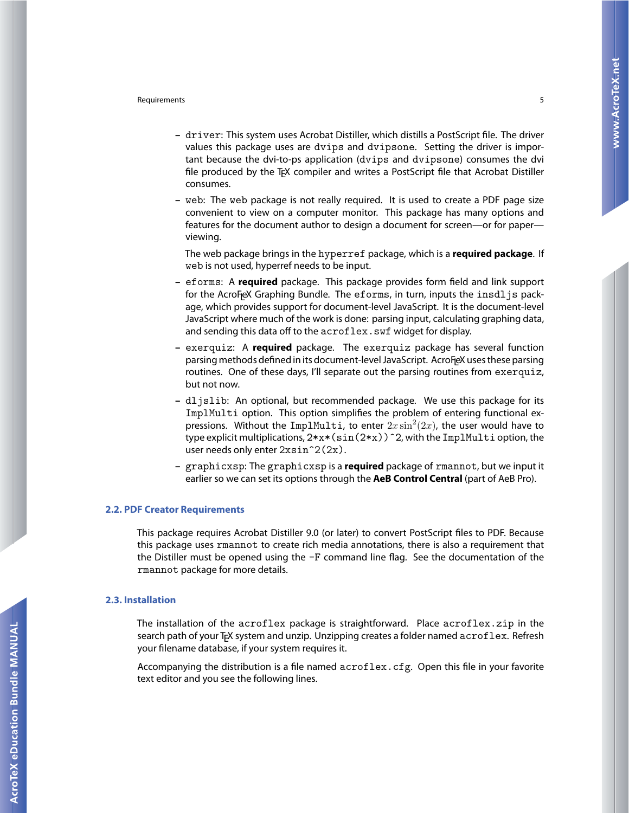#### <span id="page-4-0"></span>Requirements 5

- **–** driver: This system uses Acrobat Distiller, which distills a PostScript file. The driver values this package uses are dvips and dvipsone. Setting the driver is important because the dvi-to-ps application (dvips and dvipsone) consumes the dvi file produced by the T<sub>EX</sub> compiler and writes a PostScript file that Acrobat Distiller consumes.
- **–** web: The web package is not really required. It is used to create a PDF page size convenient to view on a computer monitor. This package has many options and features for the document author to design a document for screen—or for paper viewing.

The web package brings in the hyperref package, which is a **required package**. If web is not used, hyperref needs to be input.

- **–** eforms: A **required** package. This package provides form field and link support for the AcroF<sub>l</sub>eX Graphing Bundle. The  $\tt{eforms}$ , in turn, inputs the  $\tt{insdljs}$  package, which provides support for document-level JavaScript. It is the document-level JavaScript where much of the work is done: parsing input, calculating graphing data, and sending this data off to the acroflex. swf widget for display.
- **–** exerquiz: A **required** package. The exerquiz package has several function parsing methods defined in its document-level JavaScript. AcroF<sub>l</sub>eX uses these parsing routines. One of these days, I'll separate out the parsing routines from exerquiz, but not now.
- **–** dljslib: An optional, but recommended package. We use this package for its ImplMulti option. This option simplifies the problem of entering functional expressions. Without the ImplMulti, to enter  $2x \sin^2(2x)$ , the user would have to type explicit multiplications,  $2*x*(sin(2*x))$  <sup>2</sup>, with the ImplMulti option, the user needs only enter  $2x\sin^2(2x)$ .
- **–** graphicxsp: The graphicxsp is a **required** package of rmannot, but we input it earlier so we can set its options through the **AeB Control Central** (part of AeB Pro).

#### **2.2. PDF Creator Requirements**

This package requires Acrobat Distiller 9.0 (or later) to convert PostScript files to PDF. Because this package uses rmannot to create rich media annotations, there is also a requirement that the Distiller must be opened using the -F command line flag. See the documentation of the rmannot package for more details.

#### **2.3. Installation**

The installation of the acroflex package is straightforward. Place acroflex.zip in the search path of your T<sub>F</sub>X system and unzip. Unzipping creates a folder named acroflex. Refresh your filename database, if your system requires it.

Accompanying the distribution is a file named acroflex.cfg. Open this file in your favorite text editor and you see the following lines.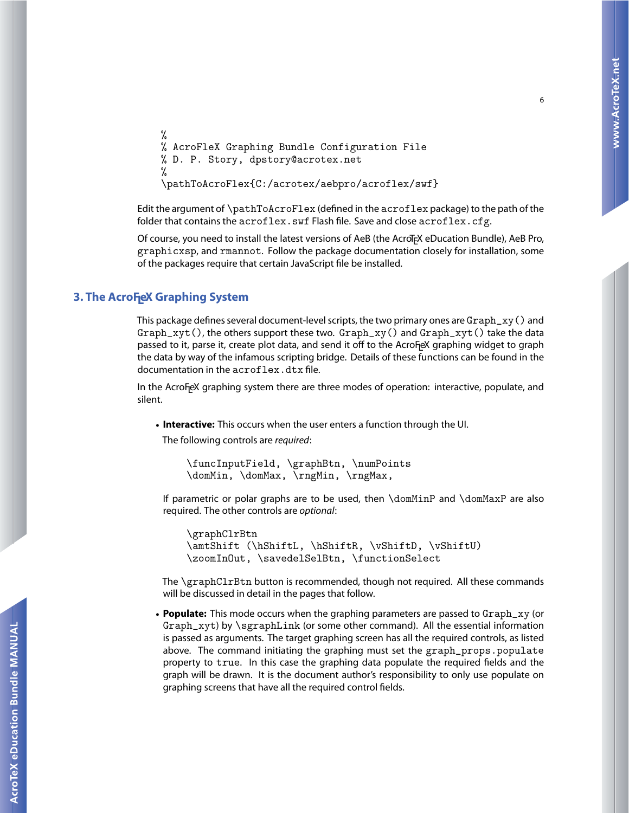```
%
% AcroFleX Graphing Bundle Configuration File
% D. P. Story, dpstory@acrotex.net
%
\pathToAcroFlex{C:/acrotex/aebpro/acroflex/swf}
```
Edit the argument of \pathToAcroFlex (defined in the acroflex package) to the path of the folder that contains the  $acroflex.swf$  Flash file. Save and close  $acroflex.cfg.$ 

Of course, you need to install the latest versions of AeB (the AcroT<sub>EX</sub> eDucation Bundle), AeB Pro, graphicxsp, and rmannot. Follow the package documentation closely for installation, some of the packages require that certain JavaScript file be installed.

## **3. The AcroFeX Graphing System**

This package defines several document-level scripts, the two primary ones are  $Graph\_xy()$  and Graph  $xvt()$ , the others support these two. Graph  $xv()$  and Graph  $xvt()$  take the data passed to it, parse it, create plot data, and send it off to the AcroF<sub>L</sub>eX graphing widget to graph the data by way of the infamous scripting bridge. Details of these functions can be found in the documentation in the acroflex.dtx file.

In the AcroF<sub>l</sub>eX graphing system there are three modes of operation: interactive, populate, and silent.

• **Interactive:** This occurs when the user enters a function through the UI.

The following controls are required:

```
\funcInputField, \graphBtn, \numPoints
\domMin, \domMax, \rngMin, \rngMax,
```
If parametric or polar graphs are to be used, then \domMinP and \domMaxP are also required. The other controls are optional:

\graphClrBtn \amtShift (\hShiftL, \hShiftR, \vShiftD, \vShiftU) \zoomInOut, \savedelSelBtn, \functionSelect

The \graphClrBtn button is recommended, though not required. All these commands will be discussed in detail in the pages that follow.

• **Populate:** This mode occurs when the graphing parameters are passed to Graph\_xy (or Graph\_xyt) by \sgraphLink (or some other command). All the essential information is passed as arguments. The target graphing screen has all the required controls, as listed above. The command initiating the graphing must set the graph\_props.populate property to true. In this case the graphing data populate the required fields and the graph will be drawn. It is the document author's responsibility to only use populate on graphing screens that have all the required control fields.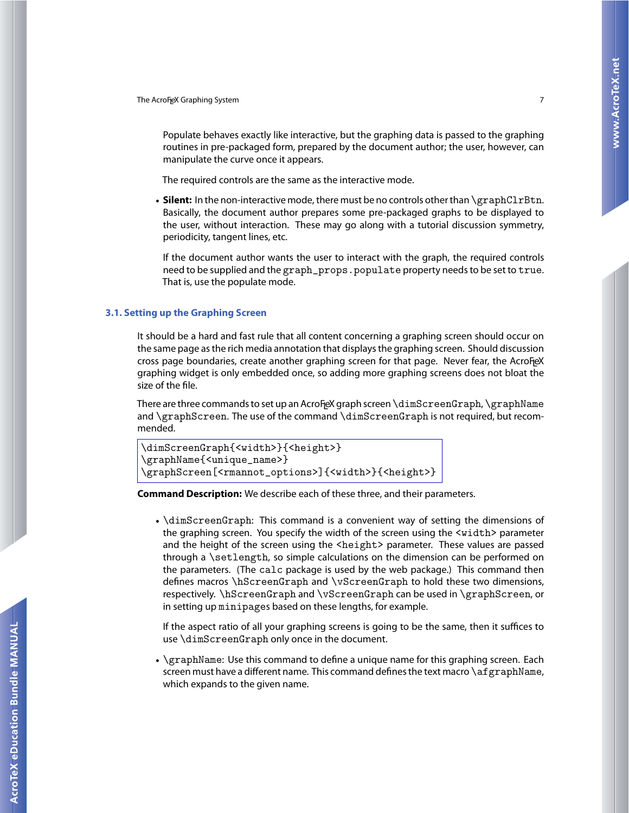<span id="page-6-0"></span>Populate behaves exactly like interactive, but the graphing data is passed to the graphing routines in pre-packaged form, prepared by the document author; the user, however, can manipulate the curve once it appears.

The required controls are the same as the interactive mode.

• **Silent:** In the non-interactive mode, there must be no controls other than \graphClrBtn. Basically, the document author prepares some pre-packaged graphs to be displayed to the user, without interaction. These may go along with a tutorial discussion symmetry, periodicity, tangent lines, etc.

If the document author wants the user to interact with the graph, the required controls need to be supplied and the graph\_props.populate property needs to be set to true. That is, use the populate mode.

#### **3.1. Setting up the Graphing Screen**

It should be a hard and fast rule that all content concerning a graphing screen should occur on the same page as the rich media annotation that displays the graphing screen. Should discussion cross page boundaries, create another graphing screen for that page. Never fear, the AcroFeX graphing widget is only embedded once, so adding more graphing screens does not bloat the size of the file.

There are three commands to set up an AcroFeX graph screen  $\dim\text{ScreenGraph}$ ,  $\langle\text{graphName}\rangle$ and \graphScreen. The use of the command \dimScreenGraph is not required, but recommended.

```
\dimScreenGraph{<width>}{<height>}
\graphName{<unique_name>}
\graphScreen[<rmannot_options>]{<width>}{<height>}
```
**Command Description:** We describe each of these three, and their parameters.

• \dimScreenGraph: This command is a convenient way of setting the dimensions of the graphing screen. You specify the width of the screen using the <width> parameter and the height of the screen using the <height> parameter. These values are passed through a \setlength, so simple calculations on the dimension can be performed on the parameters. (The calc package is used by the web package.) This command then defines macros \hScreenGraph and \vScreenGraph to hold these two dimensions, respectively. \hScreenGraph and \vScreenGraph can be used in \graphScreen, or in setting up minipages based on these lengths, for example.

If the aspect ratio of all your graphing screens is going to be the same, then it suffices to use \dimScreenGraph only once in the document.

• \graphName: Use this command to define a unique name for this graphing screen. Each screen must have a different name. This command defines the text macro  $\arg supp N$ ame, which expands to the given name.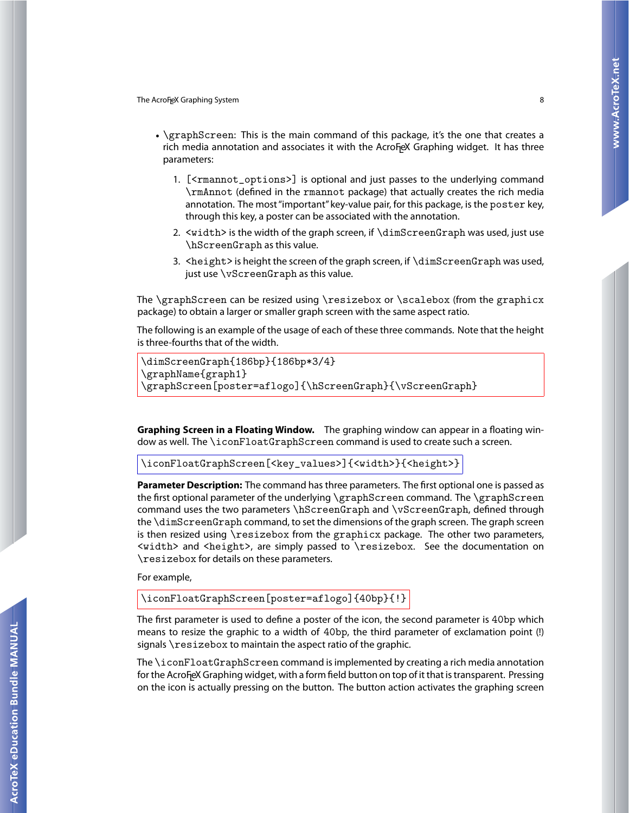- \graphScreen: This is the main command of this package, it's the one that creates a rich media annotation and associates it with the AcroF<sub>L</sub>eX Graphing widget. It has three parameters:
	- 1. [<rmannot\_options>] is optional and just passes to the underlying command \rmAnnot (defined in the rmannot package) that actually creates the rich media annotation. The most "important" key-value pair, for this package, is the poster key, through this key, a poster can be associated with the annotation.
	- 2. <width> is the width of the graph screen, if \dimScreenGraph was used, just use \hScreenGraph as this value.
	- 3. <height> is height the screen of the graph screen, if \dimScreenGraph was used, just use \vScreenGraph as this value.

The \graphScreen can be resized using \resizebox or \scalebox (from the graphicx package) to obtain a larger or smaller graph screen with the same aspect ratio.

The following is an example of the usage of each of these three commands. Note that the height is three-fourths that of the width.

```
\dimScreenGraph{186bp}{186bp*3/4}
\graphName{graph1}
\graphScreen[poster=aflogo]{\hScreenGraph}{\vScreenGraph}
```
**Graphing Screen in a Floating Window.** The graphing window can appear in a floating window as well. The \iconFloatGraphScreen command is used to create such a screen.

\iconFloatGraphScreen[<key\_values>]{<width>}{<height>}

**Parameter Description:** The command has three parameters. The first optional one is passed as the first optional parameter of the underlying \graphScreen command. The \graphScreen command uses the two parameters \hScreenGraph and \vScreenGraph, defined through the \dimScreenGraph command, to set the dimensions of the graph screen. The graph screen is then resized using \resizebox from the graphicx package. The other two parameters, <width> and <height>, are simply passed to \resizebox. See the documentation on \resizebox for details on these parameters.

For example,

\iconFloatGraphScreen[poster=aflogo]{40bp}{!}

The first parameter is used to define a poster of the icon, the second parameter is 40bp which means to resize the graphic to a width of 40bp, the third parameter of exclamation point (!) signals \resizebox to maintain the aspect ratio of the graphic.

The \iconFloatGraphScreen command is implemented by creating a rich media annotation for the AcroF<sub>l</sub>eX Graphing widget, with a form field button on top of it that is transparent. Pressing on the icon is actually pressing on the button. The button action activates the graphing screen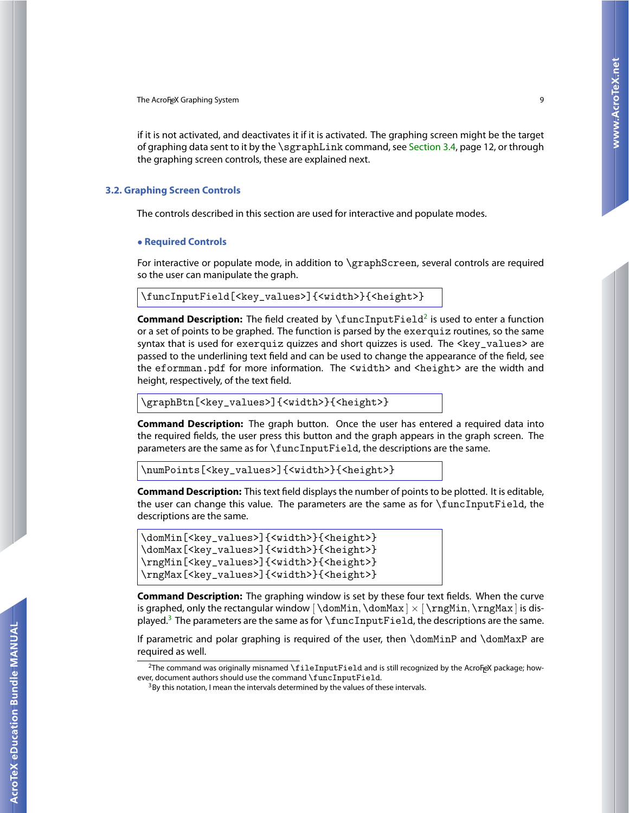<span id="page-8-0"></span>if it is not activated, and deactivates it if it is activated. The graphing screen might be the target of graphing data sent to it by the \sgraphLink command, see [Section 3.4,](#page-11-0) page 12, or through the graphing screen controls, these are explained next.

#### **3.2. Graphing Screen Controls**

The controls described in this section are used for interactive and populate modes.

#### • **Required Controls**

For interactive or populate mode, in addition to \graphScreen, several controls are required so the user can manipulate the graph.

```
\funcInputField[<key_values>]{<width>}{<height>}
```
**Command Description:** The field created by \funcInputField<sup>2</sup> is used to enter a function or a set of points to be graphed. The function is parsed by the exerquiz routines, so the same syntax that is used for exerquiz quizzes and short quizzes is used. The <key\_values> are passed to the underlining text field and can be used to change the appearance of the field, see the eformman.pdf for more information. The <width> and <height> are the width and height, respectively, of the text field.

\graphBtn[<key\_values>]{<width>}{<height>}

**Command Description:** The graph button. Once the user has entered a required data into the required fields, the user press this button and the graph appears in the graph screen. The parameters are the same as for \funcInputField, the descriptions are the same.

```
\numPoints[<key_values>]{<width>}{<height>}
```
**Command Description:** This text field displays the number of points to be plotted. It is editable, the user can change this value. The parameters are the same as for \funcInputField, the descriptions are the same.

```
\domMin[<key_values>]{<width>}{<height>}
\domMax[<key_values>]{<width>}{<height>}
\rngMin[<key_values>]{<width>}{<height>}
\rngMax[<key_values>]{<width>}{<height>}
```
**Command Description:** The graphing window is set by these four text fields. When the curve is graphed, only the rectangular window  $\{\domMin, \domMax \} \times \frac{MinMin}{max}$  is displayed.<sup>3</sup> The parameters are the same as for  $\{\text{funcInputField}, \text{the descriptions are the same.}$ 

If parametric and polar graphing is required of the user, then \domMinP and \domMaxP are required as well.

 $^2$ The command was originally misnamed \fileInputField and is still recognized by the AcroF<sub>L</sub>eX package; however, document authors should use the command \funcInputField. 3By this notation, I mean the intervals determined by the values of these intervals.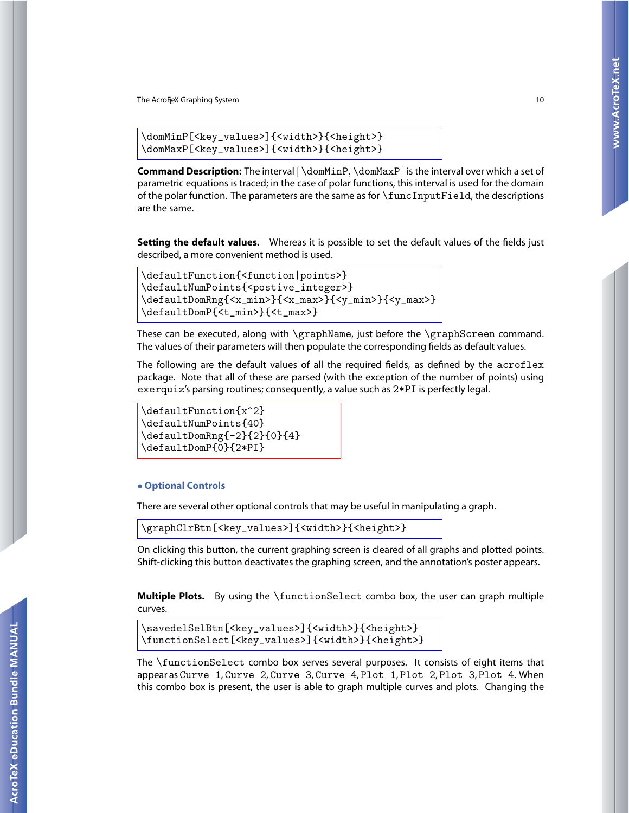```
\domMinP[<key_values>]{<width>}{<height>}
\domMaxP[<key_values>]{<width>}{<height>}
```
**Command Description:** The interval [ \domMinP, \domMaxP ] is the interval over which a set of parametric equations is traced; in the case of polar functions, this interval is used for the domain of the polar function. The parameters are the same as for \funcInputField, the descriptions are the same.

**Setting the default values.** Whereas it is possible to set the default values of the fields just described, a more convenient method is used.

```
\defaultFunction{<function|points>}
\defaultNumPoints{<postive_integer>}
\defaultDomRng{<x_min>}{<x_max>}{<y_min>}{<y_max>}
\defaultDomP{<t_min>}{<t_max>}
```
These can be executed, along with \graphName, just before the \graphScreen command. The values of their parameters will then populate the corresponding fields as default values.

The following are the default values of all the required fields, as defined by the acroflex package. Note that all of these are parsed (with the exception of the number of points) using exerquiz's parsing routines; consequently, a value such as 2\*PI is perfectly legal.

```
\defaultFunction{x^2}
\defaultNumPoints{40}
\defaultDomRng{-2}{2}{0}{4}
\defaultDomP{0}{2*PI}
```
#### • **Optional Controls**

There are several other optional controls that may be useful in manipulating a graph.

\graphClrBtn[<key\_values>]{<width>}{<height>}

On clicking this button, the current graphing screen is cleared of all graphs and plotted points. Shift-clicking this button deactivates the graphing screen, and the annotation's poster appears.

**Multiple Plots.** By using the \functionSelect combo box, the user can graph multiple curves.

```
\savedelSelBtn[<key_values>]{<width>}{<height>}
\functionSelect[<key_values>]{<width>}{<height>}
```
The \functionSelect combo box serves several purposes. It consists of eight items that appear as Curve 1, Curve 2, Curve 3, Curve 4, Plot 1, Plot 2, Plot 3, Plot 4. When this combo box is present, the user is able to graph multiple curves and plots. Changing the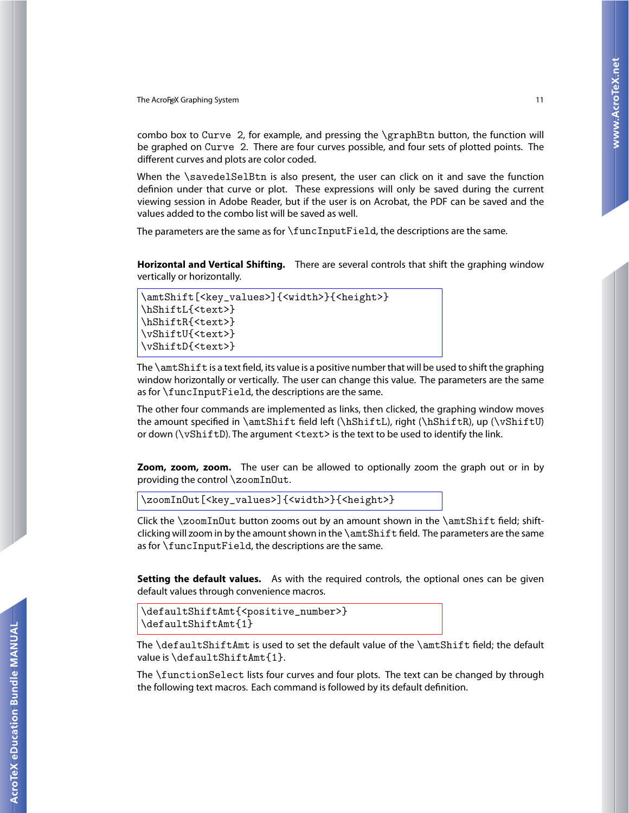combo box to Curve 2, for example, and pressing the \graphBtn button, the function will be graphed on Curve 2. There are four curves possible, and four sets of plotted points. The different curves and plots are color coded.

When the \savedelSelBtn is also present, the user can click on it and save the function definion under that curve or plot. These expressions will only be saved during the current viewing session in Adobe Reader, but if the user is on Acrobat, the PDF can be saved and the values added to the combo list will be saved as well.

The parameters are the same as for \funcInputField, the descriptions are the same.

**Horizontal and Vertical Shifting.** There are several controls that shift the graphing window vertically or horizontally.

```
\amtShift[<key_values>]{<width>}{<height>}
\hShiftL{<text>}
\hShiftR{<text>}
\vShiftU{<text>}
\vShiftD{<text>}
```
The  $\ant\mathsf{S}_\mathsf{t}$  is a text field, its value is a positive number that will be used to shift the graphing window horizontally or vertically. The user can change this value. The parameters are the same as for \funcInputField, the descriptions are the same.

The other four commands are implemented as links, then clicked, the graphing window moves the amount specified in \amtShift field left (\hShiftL), right (\hShiftR), up (\vShiftU) or down ( $\sqrt{vShiftD}$ ). The argument <text> is the text to be used to identify the link.

**Zoom, zoom, zoom.** The user can be allowed to optionally zoom the graph out or in by providing the control \zoomInOut.

```
\zoomInOut[<key_values>]{<width>}{<height>}
```
Click the \zoomInOut button zooms out by an amount shown in the \amtShift field; shiftclicking will zoom in by the amount shown in the \amtShift field. The parameters are the same as for \funcInputField, the descriptions are the same.

**Setting the default values.** As with the required controls, the optional ones can be given default values through convenience macros.

```
\defaultShiftAmt{<positive_number>}
\defaultShiftAmt{1}
```
The \defaultShiftAmt is used to set the default value of the \amtShift field; the default value is \defaultShiftAmt{1}.

The \functionSelect lists four curves and four plots. The text can be changed by through the following text macros. Each command is followed by its default definition.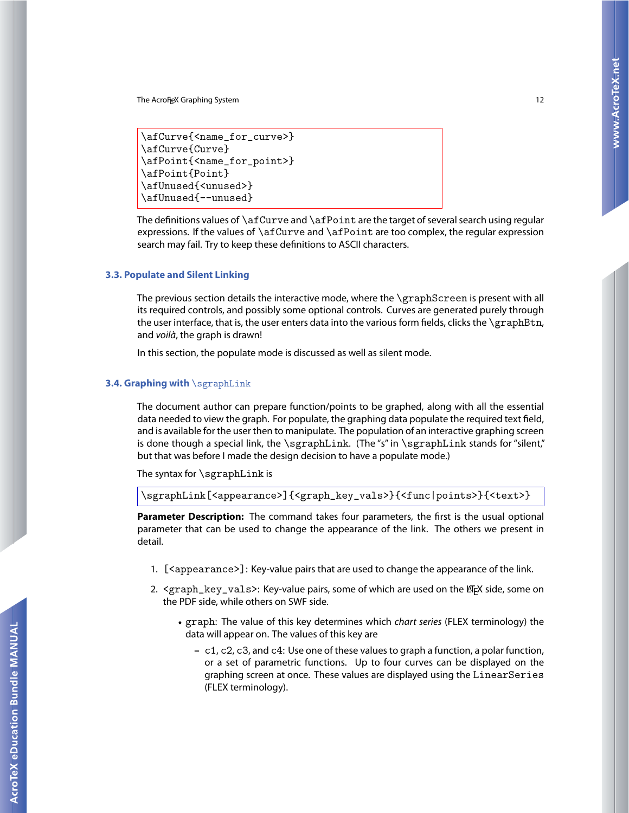```
\afCurve{<name_for_curve>}
\afCurve{Curve}
\afPoint{<name_for_point>}
\afPoint{Point}
\afUnused{<unused>}
\afUnused{--unused}
```
The definitions values of \afCurve and \afPoint are the target of several search using regular expressions. If the values of \afCurve and \afPoint are too complex, the regular expression search may fail. Try to keep these definitions to ASCII characters.

#### **3.3. Populate and Silent Linking**

The previous section details the interactive mode, where the \graphScreen is present with all its required controls, and possibly some optional controls. Curves are generated purely through the user interface, that is, the user enters data into the various form fields, clicks the \graphBtn, and voilà, the graph is drawn!

In this section, the populate mode is discussed as well as silent mode.

### **3.4. Graphing with** \sgraphLink

The document author can prepare function/points to be graphed, along with all the essential data needed to view the graph. For populate, the graphing data populate the required text field, and is available for the user then to manipulate. The population of an interactive graphing screen is done though a special link, the \sgraphLink. (The "s" in \sgraphLink stands for "silent," but that was before I made the design decision to have a populate mode.)

The syntax for  $\sqrt{\sqrt{\sqrt{2}}}$ 

\sgraphLink[<appearance>]{<graph\_key\_vals>}{<func|points>}{<text>}

**Parameter Description:** The command takes four parameters, the first is the usual optional parameter that can be used to change the appearance of the link. The others we present in detail.

- 1. [<appearance>]: Key-value pairs that are used to change the appearance of the link.
- 2. <graph\_key\_vals>: Key-value pairs, some of which are used on the EFX side, some on the PDF side, while others on SWF side.
	- graph: The value of this key determines which chart series (FLEX terminology) the data will appear on. The values of this key are
		- **–** c1, c2, c3, and c4: Use one of these values to graph a function, a polar function, or a set of parametric functions. Up to four curves can be displayed on the graphing screen at once. These values are displayed using the LinearSeries (FLEX terminology).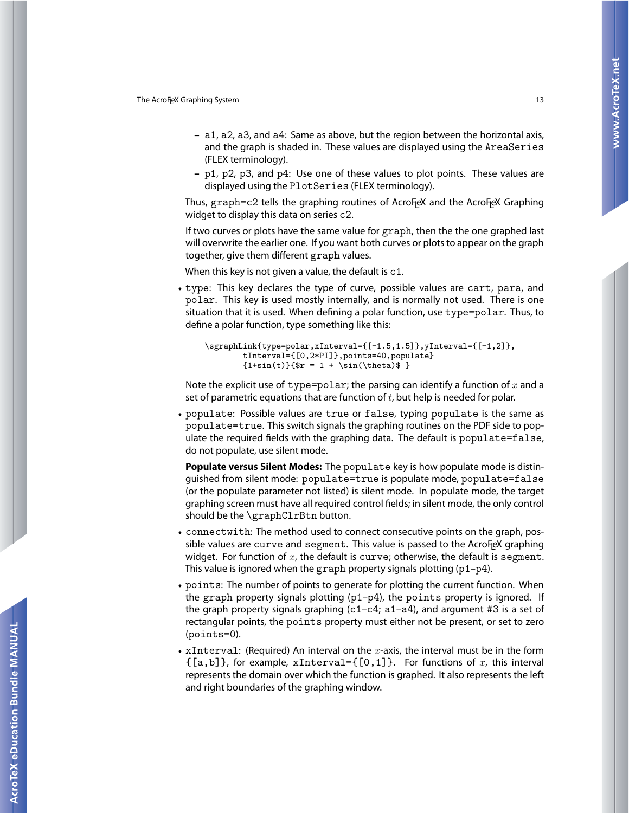- **–** a1, a2, a3, and a4: Same as above, but the region between the horizontal axis, and the graph is shaded in. These values are displayed using the AreaSeries (FLEX terminology).
- **–** p1, p2, p3, and p4: Use one of these values to plot points. These values are displayed using the PlotSeries (FLEX terminology).

Thus,  $graph = c2$  tells the graphing routines of Acro $F$ eX and the Acro $F$ eX Graphing widget to display this data on series c2.

If two curves or plots have the same value for graph, then the the one graphed last will overwrite the earlier one. If you want both curves or plots to appear on the graph together, give them different graph values.

When this key is not given a value, the default is c1.

• type: This key declares the type of curve, possible values are cart, para, and polar. This key is used mostly internally, and is normally not used. There is one situation that it is used. When defining a polar function, use type=polar. Thus, to define a polar function, type something like this:

```
\sgraphLink{type=polar,xInterval={[-1.5,1.5]},yInterval={[-1,2]},
        tInterval={[0,2*PI]},points=40,populate}
        \{1+sin(t)\}{\$r = 1 + \sin(\theta)}
```
Note the explicit use of type=polar; the parsing can identify a function of x and a set of parametric equations that are function of  $t$ , but help is needed for polar.

• populate: Possible values are true or false, typing populate is the same as populate=true. This switch signals the graphing routines on the PDF side to populate the required fields with the graphing data. The default is populate=false, do not populate, use silent mode.

**Populate versus Silent Modes:** The populate key is how populate mode is distinguished from silent mode: populate=true is populate mode, populate=false (or the populate parameter not listed) is silent mode. In populate mode, the target graphing screen must have all required control fields; in silent mode, the only control should be the \graphClrBtn button.

- connectwith: The method used to connect consecutive points on the graph, pos $s$ ible values are  $\tt curve$  and  $\tt segment$ . This value is passed to the Acro $F$ eX graphing widget. For function of  $x$ , the default is curve; otherwise, the default is segment. This value is ignored when the graph property signals plotting (p1–p4).
- points: The number of points to generate for plotting the current function. When the graph property signals plotting  $(p1-p4)$ , the points property is ignored. If the graph property signals graphing  $(c1-c4; a1-a4)$ , and argument #3 is a set of rectangular points, the points property must either not be present, or set to zero (points=0).
- xInterval: (Required) An interval on the  $x$ -axis, the interval must be in the form  $\{[a,b]\}$ , for example, xInterval= $\{[0,1]\}$ . For functions of x, this interval represents the domain over which the function is graphed. It also represents the left and right boundaries of the graphing window.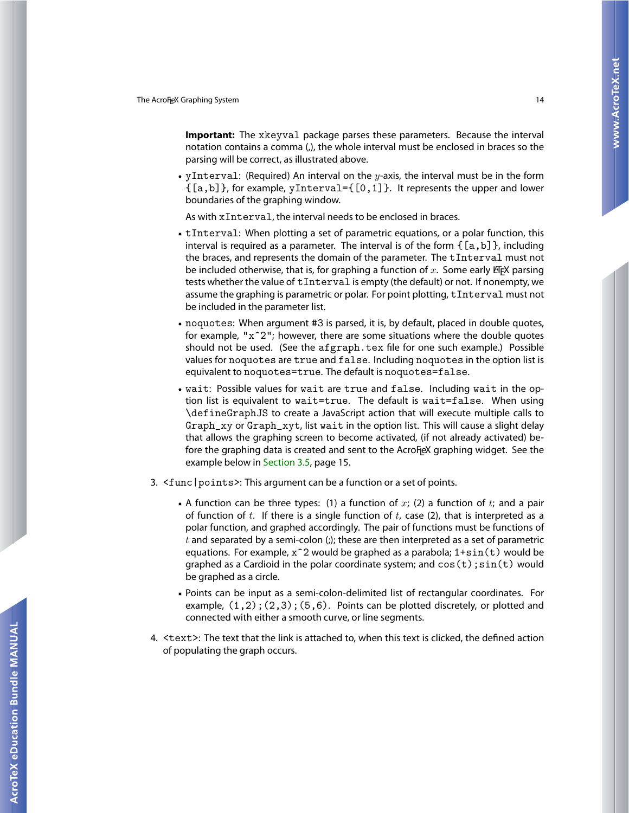**Important:** The xkeyval package parses these parameters. Because the interval notation contains a comma (,), the whole interval must be enclosed in braces so the parsing will be correct, as illustrated above.

• yInterval: (Required) An interval on the  $y$ -axis, the interval must be in the form {[a,b]}, for example, yInterval={[0,1]}. It represents the upper and lower boundaries of the graphing window.

As with xInterval, the interval needs to be enclosed in braces.

- tInterval: When plotting a set of parametric equations, or a polar function, this interval is required as a parameter. The interval is of the form  $\{[a,b]\}$ , including the braces, and represents the domain of the parameter. The tInterval must not be included otherwise, that is, for graphing a function of  $x$ . Some early EFX parsing tests whether the value of tInterval is empty (the default) or not. If nonempty, we assume the graphing is parametric or polar. For point plotting, tInterval must not be included in the parameter list.
- noquotes: When argument #3 is parsed, it is, by default, placed in double quotes, for example, "x^2"; however, there are some situations where the double quotes should not be used. (See the afgraph.tex file for one such example.) Possible values for noquotes are true and false. Including noquotes in the option list is equivalent to noquotes=true. The default is noquotes=false.
- wait: Possible values for wait are true and false. Including wait in the option list is equivalent to wait=true. The default is wait=false. When using \defineGraphJS to create a JavaScript action that will execute multiple calls to Graph\_xy or Graph\_xyt, list wait in the option list. This will cause a slight delay that allows the graphing screen to become activated, (if not already activated) before the graphing data is created and sent to the AcroF<sub>l</sub>eX graphing widget. See the example below in [Section 3.5,](#page-14-0) page 15.
- 3. <func|points>: This argument can be a function or a set of points.
	- A function can be three types: (1) a function of  $x$ ; (2) a function of  $t$ ; and a pair of function of  $t$ . If there is a single function of  $t$ , case (2), that is interpreted as a polar function, and graphed accordingly. The pair of functions must be functions of  $t$  and separated by a semi-colon (;); these are then interpreted as a set of parametric equations. For example,  $x^2$  would be graphed as a parabola;  $1+s$ in(t) would be graphed as a Cardioid in the polar coordinate system; and  $\cos(t)$ ;  $\sin(t)$  would be graphed as a circle.
	- Points can be input as a semi-colon-delimited list of rectangular coordinates. For example,  $(1,2)$ ;  $(2,3)$ ;  $(5,6)$ . Points can be plotted discretely, or plotted and connected with either a smooth curve, or line segments.
- 4. <text>: The text that the link is attached to, when this text is clicked, the defined action of populating the graph occurs.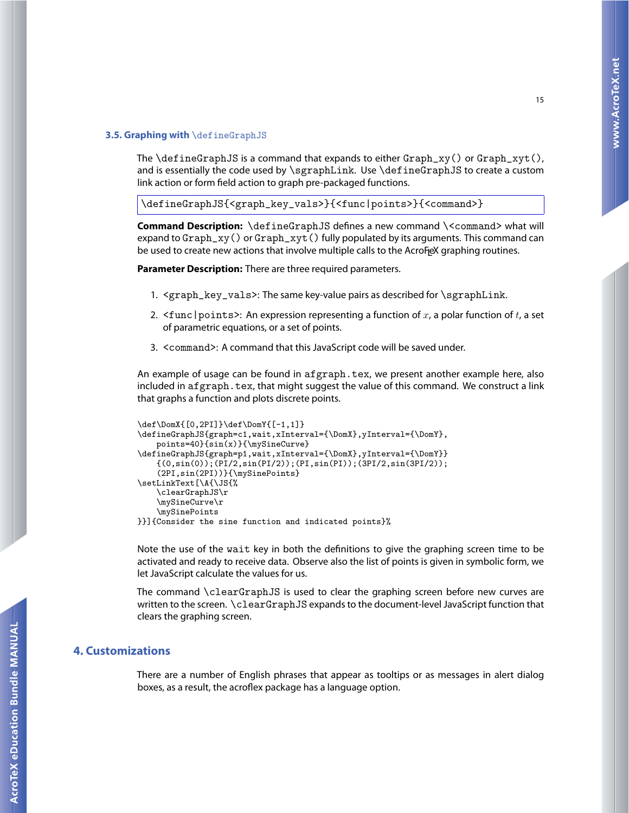#### <span id="page-14-0"></span>**3.5. Graphing with** \defineGraphJS

The \defineGraphJS is a command that expands to either Graph\_xy() or Graph\_xyt(), and is essentially the code used by  $\sqrt{\text{Link}}$ . Use  $\text{LimGraphJS}$  to create a custom link action or form field action to graph pre-packaged functions.

```
\defineGraphJS{<graph_key_vals>}{<func|points>}{<command>}
```
**Command Description:** \defineGraphJS defines a new command \<command> what will expand to  $Graph_xy()$  or  $Graph_xyt()$  fully populated by its arguments. This command can be used to create new actions that involve multiple calls to the AcroF<sub>l</sub>eX graphing routines.

**Parameter Description:** There are three required parameters.

- 1. <graph\_key\_vals>: The same key-value pairs as described for \sgraphLink.
- 2.  $\leq$  func | points>: An expression representing a function of x, a polar function of t, a set of parametric equations, or a set of points.
- 3. <command>: A command that this JavaScript code will be saved under.

An example of usage can be found in afgraph.tex, we present another example here, also included in afgraph.tex, that might suggest the value of this command. We construct a link that graphs a function and plots discrete points.

```
\def\DomX{[0,2PI]}\def\DomY{[-1,1]}
\defineGraphJS{graph=c1,wait,xInterval={\DomX},yInterval={\DomY},
    points=40}{sin(x)}{\mySineCurve}
\defineGraphJS{graph=p1,wait,xInterval={\DomX},yInterval={\DomY}}
    {(0,sin(0));(PI/2,sin(PI/2));(PI,sin(PI));(3PI/2,sin(3PI/2));
    (2PI,sin(2PI))}{\mySinePoints}
\setLinkText[\A{\JS{%
    \clearGraphJS\r
    \mySineCurve\r
    \mySinePoints
}}]{Consider the sine function and indicated points}%
```
Note the use of the wait key in both the definitions to give the graphing screen time to be activated and ready to receive data. Observe also the list of points is given in symbolic form, we let JavaScript calculate the values for us.

The command \clearGraphJS is used to clear the graphing screen before new curves are written to the screen. \clearGraphJS expands to the document-level JavaScript function that clears the graphing screen.

### **4. Customizations**

There are a number of English phrases that appear as tooltips or as messages in alert dialog boxes, as a result, the acroflex package has a language option.